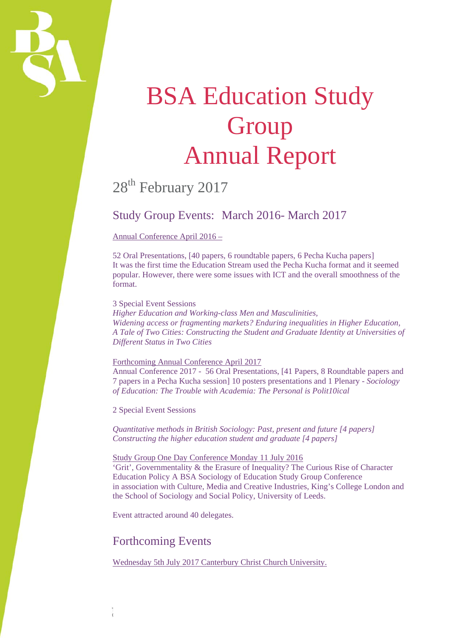

# **BSA Education Study Group** Annual Report

## 28<sup>th</sup> February 2017

## Study Group Events: March 2016- March 2017

#### Annual Conference April 2016 –

52 Oral Presentations, [40 papers, 6 roundtable papers, 6 Pecha Kucha papers] It was the first time the Education Stream used the Pecha Kucha format and it seemed popular. However, there were some issues with ICT and the overall smoothness of the format.

#### 3 Special Event Sessions

*Higher Education and Working-class Men and Masculinities, Widening access or fragmenting markets? Enduring inequalities in Higher Education, A Tale of Two Cities: Constructing the Student and Graduate Identity at Universities of Different Status in Two Cities* 

#### Forthcoming Annual Conference April 2017

Annual Conference 2017 - 56 Oral Presentations, [41 Papers, 8 Roundtable papers and 7 papers in a Pecha Kucha session] 10 posters presentations and 1 Plenary - *Sociology of Education: The Trouble with Academia: The Personal is Polit10ical* 

2 Special Event Sessions

*Quantitative methods in British Sociology: Past, present and future [4 papers] Constructing the higher education student and graduate [4 papers]* 

#### Study Group One Day Conference Monday 11 July 2016

'Grit', Governmentality & the Erasure of Inequality? The Curious Rise of Character Education Policy A BSA Sociology of Education Study Group Conference in association with Culture, Media and Creative Industries, King's College London and the School of Sociology and Social Policy, University of Leeds.

Event attracted around 40 delegates.

## Forthcoming Events

Wednesday 5th July 2017 Canterbury Christ Church University.